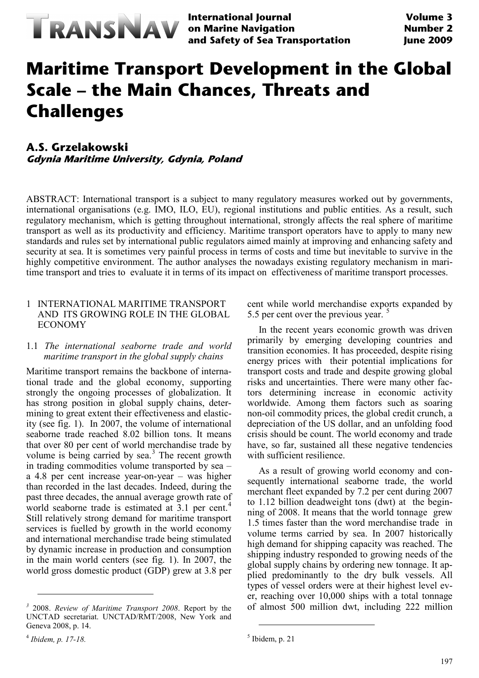

**International Journal on Marine Navigation and Safety of Sea Transportation**

# **Maritime Transport Development in the Global Scale – the Main Chances, Threats and Challenges**

## **A.S. Grzelakowski**

**Gdynia Maritime University, Gdynia, Poland**

ABSTRACT: International transport is a subject to many regulatory measures worked out by governments, international organisations (e.g. IMO, ILO, EU), regional institutions and public entities. As a result, such regulatory mechanism, which is getting throughout international, strongly affects the real sphere of maritime transport as well as its productivity and efficiency. Maritime transport operators have to apply to many new standards and rules set by international public regulators aimed mainly at improving and enhancing safety and security at sea. It is sometimes very painful process in terms of costs and time but inevitable to survive in the highly competitive environment. The author analyses the nowadays existing regulatory mechanism in maritime transport and tries to evaluate it in terms of its impact on effectiveness of maritime transport processes.

#### 1 INTERNATIONAL MARITIME TRANSPORT AND ITS GROWING ROLE IN THE GLOBAL ECONOMY

#### 1.1 *The international seaborne trade and world maritime transport in the global supply chains*

Maritime transport remains the backbone of international trade and the global economy, supporting strongly the ongoing processes of globalization. It has strong position in global supply chains, determining to great extent their effectiveness and elasticity (see fig. 1). In 2007, the volume of international seaborne trade reached 8.02 billion tons. It means that over 80 per cent of world merchandise trade by volume is being carried by sea. $3$  The recent growth in trading commodities volume transported by sea – a 4.8 per cent increase year-on-year – was higher than recorded in the last decades. Indeed, during the past three decades, the annual average growth rate of world seaborne trade is estimated at 3.1 per cent.<sup>[4](#page-0-1)</sup> Still relatively strong demand for maritime transport services is fuelled by growth in the world economy and international merchandise trade being stimulated by dynamic increase in production and consumption in the main world centers (see fig. 1). In 2007, the world gross domestic product (GDP) grew at 3.8 per

 $\overline{a}$ 

cent while world merchandise exports expanded by [5](#page-0-2).5 per cent over the previous year.<sup>5</sup>

In the recent years economic growth was driven primarily by emerging developing countries and transition economies. It has proceeded, despite rising energy prices with their potential implications for transport costs and trade and despite growing global risks and uncertainties. There were many other factors determining increase in economic activity worldwide. Among them factors such as soaring non-oil commodity prices, the global credit crunch, a depreciation of the US dollar, and an unfolding food crisis should be count. The world economy and trade have, so far, sustained all these negative tendencies with sufficient resilience.

As a result of growing world economy and consequently international seaborne trade, the world merchant fleet expanded by 7.2 per cent during 2007 to 1.12 billion deadweight tons (dwt) at the beginning of 2008. It means that the world tonnage grew 1.5 times faster than the word merchandise trade in volume terms carried by sea. In 2007 historically high demand for shipping capacity was reached. The shipping industry responded to growing needs of the global supply chains by ordering new tonnage. It applied predominantly to the dry bulk vessels. All types of vessel orders were at their highest level ever, reaching over 10,000 ships with a total tonnage of almost 500 million dwt, including 222 million

<u>.</u>

<span id="page-0-0"></span>*<sup>3</sup>* 2008. *Review of Maritime Transport 2008*. Report by the UNCTAD secretariat. UNCTAD/RMT/2008, New York and Geneva 2008, p. 14.

<span id="page-0-2"></span><span id="page-0-1"></span><sup>4</sup> *Ibidem, p. 17-18.*

 $<sup>5</sup>$  Ibidem, p. 21</sup>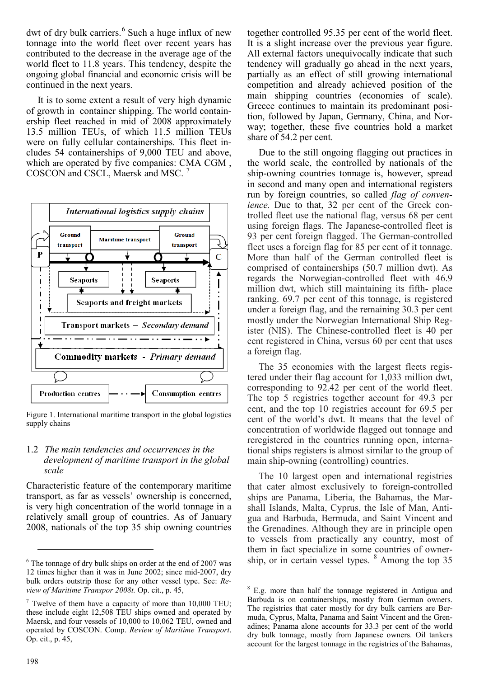dwt of dry bulk carriers. $6$  Such a huge influx of new tonnage into the world fleet over recent years has contributed to the decrease in the average age of the world fleet to 11.8 years. This tendency, despite the ongoing global financial and economic crisis will be continued in the next years.

It is to some extent a result of very high dynamic of growth in container shipping. The world containership fleet reached in mid of 2008 approximately 13.5 million TEUs, of which 11.5 million TEUs were on fully cellular containerships. This fleet includes 54 containerships of 9,000 TEU and above, which are operated by five companies: CMA CGM , COSCON and CSCL, Maersk and MSC.



Figure 1. International maritime transport in the global logistics supply chains

#### 1.2 *The main tendencies and occurrences in the development of maritime transport in the global scale*

Characteristic feature of the contemporary maritime transport, as far as vessels' ownership is concerned, is very high concentration of the world tonnage in a relatively small group of countries. As of January 2008, nationals of the top 35 ship owning countries

together controlled 95.35 per cent of the world fleet. It is a slight increase over the previous year figure. All external factors unequivocally indicate that such tendency will gradually go ahead in the next years, partially as an effect of still growing international competition and already achieved position of the main shipping countries (economies of scale). Greece continues to maintain its predominant position, followed by Japan, Germany, China, and Norway; together, these five countries hold a market share of 54.2 per cent.

Due to the still ongoing flagging out practices in the world scale, the controlled by nationals of the ship-owning countries tonnage is, however, spread in second and many open and international registers run by foreign countries, so called *flag of convenience.* Due to that, 32 per cent of the Greek controlled fleet use the national flag, versus 68 per cent using foreign flags. The Japanese-controlled fleet is 93 per cent foreign flagged. The German-controlled fleet uses a foreign flag for 85 per cent of it tonnage. More than half of the German controlled fleet is comprised of containerships (50.7 million dwt). As regards the Norwegian-controlled fleet with 46.9 million dwt, which still maintaining its fifth- place ranking. 69.7 per cent of this tonnage, is registered under a foreign flag, and the remaining 30.3 per cent mostly under the Norwegian International Ship Register (NIS). The Chinese-controlled fleet is 40 per cent registered in China, versus 60 per cent that uses a foreign flag.

The 35 economies with the largest fleets registered under their flag account for 1,033 million dwt, corresponding to 92.42 per cent of the world fleet. The top 5 registries together account for 49.3 per cent, and the top 10 registries account for 69.5 per cent of the world's dwt. It means that the level of concentration of worldwide flagged out tonnage and reregistered in the countries running open, international ships registers is almost similar to the group of main ship-owning (controlling) countries.

The 10 largest open and international registries that cater almost exclusively to foreign-controlled ships are Panama, Liberia, the Bahamas, the Marshall Islands, Malta, Cyprus, the Isle of Man, Antigua and Barbuda, Bermuda, and Saint Vincent and the Grenadines. Although they are in principle open to vessels from practically any country, most of them in fact specialize in some countries of ownership, or in certain vessel types.  $8$  Among the top 35

-

<span id="page-1-0"></span> $6$  The tonnage of dry bulk ships on order at the end of 2007 was 12 times higher than it was in June 2002; since mid-2007, dry bulk orders outstrip those for any other vessel type. See: *Review of Maritime Transpor 2008t.* Op. cit., p. 45,

<span id="page-1-2"></span><span id="page-1-1"></span> $7$  Twelve of them have a capacity of more than 10,000 TEU; these include eight 12,508 TEU ships owned and operated by Maersk, and four vessels of 10,000 to 10,062 TEU, owned and operated by COSCON. Comp. *Review of Maritime Transport*. Op. cit., p. 45,

<sup>8</sup> E.g. more than half the tonnage registered in Antigua and Barbuda is on containerships, mostly from German owners. The registries that cater mostly for dry bulk carriers are Bermuda, Cyprus, Malta, Panama and Saint Vincent and the Grenadines; Panama alone accounts for 33.3 per cent of the world dry bulk tonnage, mostly from Japanese owners. Oil tankers account for the largest tonnage in the registries of the Bahamas,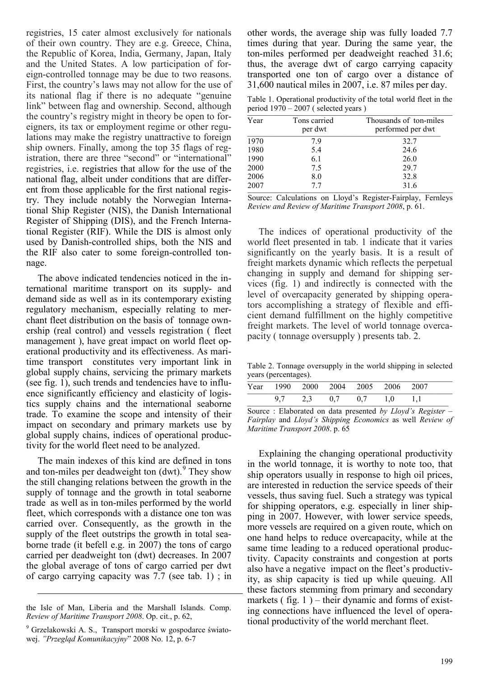registries, 15 cater almost exclusively for nationals of their own country. They are e.g. Greece, China, the Republic of Korea, India, Germany, Japan, Italy and the United States. A low participation of foreign-controlled tonnage may be due to two reasons. First, the country's laws may not allow for the use of its national flag if there is no adequate "genuine link" between flag and ownership. Second, although the country's registry might in theory be open to foreigners, its tax or employment regime or other regulations may make the registry unattractive to foreign ship owners. Finally, among the top 35 flags of registration, there are three "second" or "international" registries, i.e. registries that allow for the use of the national flag, albeit under conditions that are different from those applicable for the first national registry. They include notably the Norwegian International Ship Register (NIS), the Danish International Register of Shipping (DIS), and the French International Register (RIF). While the DIS is almost only used by Danish-controlled ships, both the NIS and the RIF also cater to some foreign-controlled tonnage.

The above indicated tendencies noticed in the international maritime transport on its supply- and demand side as well as in its contemporary existing regulatory mechanism, especially relating to merchant fleet distribution on the basis of tonnage ownership (real control) and vessels registration ( fleet management ), have great impact on world fleet operational productivity and its effectiveness. As maritime transport constitutes very important link in global supply chains, servicing the primary markets (see fig. 1), such trends and tendencies have to influence significantly efficiency and elasticity of logistics supply chains and the international seaborne trade. To examine the scope and intensity of their impact on secondary and primary markets use by global supply chains, indices of operational productivity for the world fleet need to be analyzed.

The main indexes of this kind are defined in tons and ton-miles per deadweight ton (dwt).<sup>[9](#page-2-0)</sup> They show the still changing relations between the growth in the supply of tonnage and the growth in total seaborne trade as well as in ton-miles performed by the world fleet, which corresponds with a distance one ton was carried over. Consequently, as the growth in the supply of the fleet outstrips the growth in total seaborne trade (it befell e.g. in 2007) the tons of cargo carried per deadweight ton (dwt) decreases. In 2007 the global average of tons of cargo carried per dwt of cargo carrying capacity was 7.7 (see tab. 1) ; in

-

other words, the average ship was fully loaded 7.7 times during that year. During the same year, the ton-miles performed per deadweight reached 31.6; thus, the average dwt of cargo carrying capacity transported one ton of cargo over a distance of 31,600 nautical miles in 2007, i.e. 87 miles per day.

Table 1. Operational productivity of the total world fleet in the period  $1970 - 2007$  (selected years)

| Year | Tons carried<br>per dwt | Thousands of ton-miles<br>performed per dwt |
|------|-------------------------|---------------------------------------------|
| 1970 | 7.9                     | 32.7                                        |
| 1980 | 5.4                     | 24.6                                        |
| 1990 | 6.1                     | 26.0                                        |
| 2000 | 7.5                     | 29.7                                        |
| 2006 | 8.0                     | 32.8                                        |
| 2007 | 77                      | 31.6                                        |

Source: Calculations on Lloyd's Register-Fairplay, Fernleys *Review and Review of Maritime Transport 2008*, p. 61.

The indices of operational productivity of the world fleet presented in tab. 1 indicate that it varies significantly on the yearly basis. It is a result of freight markets dynamic which reflects the perpetual changing in supply and demand for shipping services (fig. 1) and indirectly is connected with the level of overcapacity generated by shipping operators accomplishing a strategy of flexible and efficient demand fulfillment on the highly competitive freight markets. The level of world tonnage overcapacity ( tonnage oversupply ) presents tab. 2.

Table 2. Tonnage oversupply in the world shipping in selected years (percentages).

|                                                                    |  |  | Year 1990 2000 2004 2005 2006 2007  |  |
|--------------------------------------------------------------------|--|--|-------------------------------------|--|
|                                                                    |  |  | $9.7$ $2.3$ $0.7$ $0.7$ $1.0$ $1.1$ |  |
| $\Omega$ arms a $\Omega$ - Flake match and data measured L. $I112$ |  |  |                                     |  |

Source : Elaborated on data presented *by Lloyd's Register* – *Fairplay* and *Lloyd's Shipping Economics* as well *Review of Maritime Transport 2008*. p. 65

Explaining the changing operational productivity in the world tonnage, it is worthy to note too, that ship operators usually in response to high oil prices, are interested in reduction the service speeds of their vessels, thus saving fuel. Such a strategy was typical for shipping operators, e.g. especially in liner shipping in 2007. However, with lower service speeds, more vessels are required on a given route, which on one hand helps to reduce overcapacity, while at the same time leading to a reduced operational productivity. Capacity constraints and congestion at ports also have a negative impact on the fleet's productivity, as ship capacity is tied up while queuing. All these factors stemming from primary and secondary markets ( $fig. 1$ ) – their dynamic and forms of existing connections have influenced the level of operational productivity of the world merchant fleet.

the Isle of Man, Liberia and the Marshall Islands. Comp. *Review of Maritime Transport 2008*. Op. cit., p. 62,

<span id="page-2-0"></span><sup>&</sup>lt;sup>9</sup> Grzelakowski A. S., Transport morski w gospodarce światowej. *"Przegląd Komunikacyjny*" 2008 No. 12, p. 6-7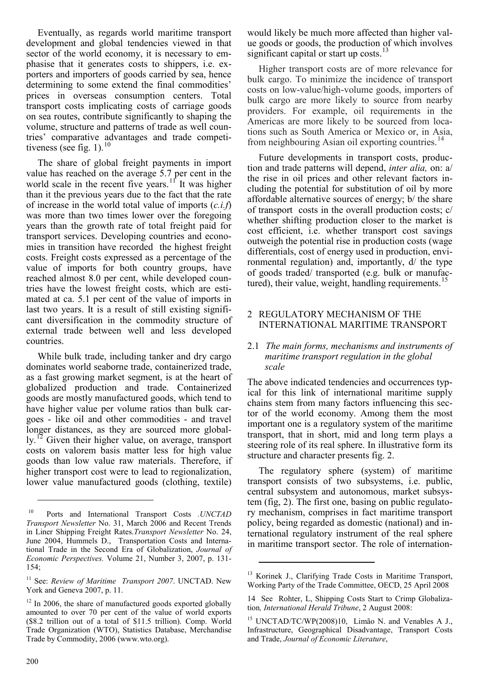Eventually, as regards world maritime transport development and global tendencies viewed in that sector of the world economy, it is necessary to emphasise that it generates costs to shippers, i.e. exporters and importers of goods carried by sea, hence determining to some extend the final commodities' prices in overseas consumption centers. Total transport costs implicating costs of carriage goods on sea routes, contribute significantly to shaping the volume, structure and patterns of trade as well countries' comparative advantages and trade competitiveness (see fig. 1). $^{10}$  $^{10}$  $^{10}$ 

The share of global freight payments in import value has reached on the average 5.7 per cent in the world scale in the recent five years.<sup>[11](#page-3-1)</sup> It was higher than it the previous years due to the fact that the rate of increase in the world total value of imports (*c.i.f*) was more than two times lower over the foregoing years than the growth rate of total freight paid for transport services. Developing countries and economies in transition have recorded the highest freight costs. Freight costs expressed as a percentage of the value of imports for both country groups, have reached almost 8.0 per cent, while developed countries have the lowest freight costs, which are estimated at ca. 5.1 per cent of the value of imports in last two years. It is a result of still existing significant diversification in the commodity structure of external trade between well and less developed countries.

While bulk trade, including tanker and dry cargo dominates world seaborne trade, containerized trade, as a fast growing market segment, is at the heart of globalized production and trade. Containerized goods are mostly manufactured goods, which tend to have higher value per volume ratios than bulk cargoes - like oil and other commodities - and travel longer distances, as they are sourced more globally.[12](#page-3-2) Given their higher value, on average, transport costs on valorem basis matter less for high value goods than low value raw materials. Therefore, if higher transport cost were to lead to regionalization, lower value manufactured goods (clothing, textile) would likely be much more affected than higher value goods or goods, the production of which involves significant capital or start up costs. $^{13}$  $^{13}$  $^{13}$ 

Higher transport costs are of more relevance for bulk cargo. To minimize the incidence of transport costs on low-value/high-volume goods, importers of bulk cargo are more likely to source from nearby providers. For example, oil requirements in the Americas are more likely to be sourced from locations such as South America or Mexico or, in Asia, from neighbouring Asian oil exporting countries.<sup>[14](#page-3-4)</sup>

Future developments in transport costs, production and trade patterns will depend, *inter alia,* on: a/ the rise in oil prices and other relevant factors including the potential for substitution of oil by more affordable alternative sources of energy; b/ the share of transport costs in the overall production costs; c/ whether shifting production closer to the market is cost efficient, i.e. whether transport cost savings outweigh the potential rise in production costs (wage differentials, cost of energy used in production, environmental regulation) and, importantly, d/ the type of goods traded/ transported (e.g. bulk or manufac-tured), their value, weight, handling requirements.<sup>[15](#page-3-5)</sup>

#### 2 REGULATORY MECHANISM OF THE INTERNATIONAL MARITIME TRANSPORT

#### 2.1 *The main forms, mechanisms and instruments of maritime transport regulation in the global scale*

The above indicated tendencies and occurrences typical for this link of international maritime supply chains stem from many factors influencing this sector of the world economy. Among them the most important one is a regulatory system of the maritime transport, that in short, mid and long term plays a steering role of its real sphere. In illustrative form its structure and character presents fig. 2.

The regulatory sphere (system) of maritime transport consists of two subsystems, i.e. public, central subsystem and autonomous, market subsystem (fig, 2). The first one, basing on public regulatory mechanism, comprises in fact maritime transport policy, being regarded as domestic (national) and international regulatory instrument of the real sphere in maritime transport sector. The role of internation-

-

<span id="page-3-0"></span><sup>10</sup> Ports and International Transport Costs *.UNCTAD Transport Newsletter* No. 31, March 2006 and Recent Trends in Liner Shipping Freight Rates.*Transport Newsletter* No. 24, June 2004, Hummels D., Transportation Costs and International Trade in the Second Era of Globalization, *Journal of Economic Perspectives.* Volume 21, Number 3, 2007, p. 131- 154;

<span id="page-3-3"></span><span id="page-3-1"></span><sup>&</sup>lt;sup>11</sup> See: *Review of Maritime Transport 2007*. UNCTAD. New York and Geneva 2007, p. 11.

<span id="page-3-5"></span><span id="page-3-4"></span><span id="page-3-2"></span> $12$  In 2006, the share of manufactured goods exported globally amounted to over 70 per cent of the value of world exports (\$8.2 trillion out of a total of \$11.5 trillion). Comp. World Trade Organization (WTO), Statistics Database, Merchandise Trade by Commodity, 2006 (www.wto.org).

<sup>&</sup>lt;sup>13</sup> Korinek J., Clarifying Trade Costs in Maritime Transport, Working Party of the Trade Committee, OECD, 25 April 2008

<sup>14</sup> See Rohter, L, Shipping Costs Start to Crimp Globalization*, International Herald Tribune*, 2 August 2008:

<sup>&</sup>lt;sup>15</sup> UNCTAD/TC/WP(2008)10, Limão N. and Venables A J., Infrastructure, Geographical Disadvantage, Transport Costs and Trade, *Journal of Economic Literature*,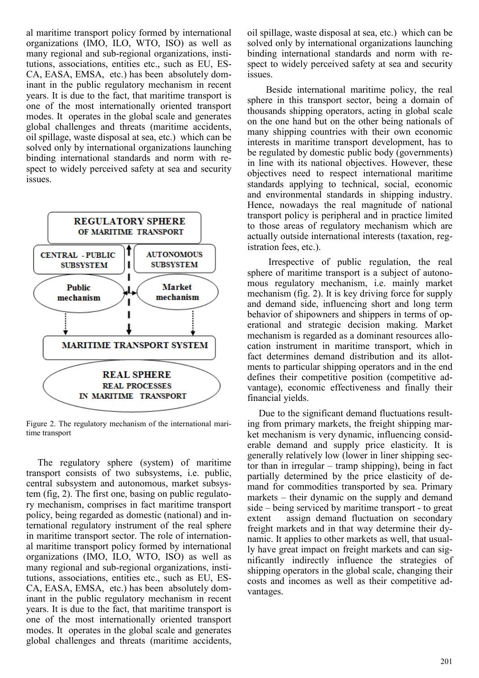al maritime transport policy formed by international organizations (IMO, ILO, WTO, ISO) as well as many regional and sub-regional organizations, institutions, associations, entities etc., such as EU, ES-CA, EASA, EMSA, etc.) has been absolutely dominant in the public regulatory mechanism in recent years. It is due to the fact, that maritime transport is one of the most internationally oriented transport modes. It operates in the global scale and generates global challenges and threats (maritime accidents, oil spillage, waste disposal at sea, etc.) which can be solved only by international organizations launching binding international standards and norm with respect to widely perceived safety at sea and security issues.



Figure 2. The regulatory mechanism of the international maritime transport

The regulatory sphere (system) of maritime transport consists of two subsystems, i.e. public, central subsystem and autonomous, market subsystem (fig, 2). The first one, basing on public regulatory mechanism, comprises in fact maritime transport policy, being regarded as domestic (national) and international regulatory instrument of the real sphere in maritime transport sector. The role of international maritime transport policy formed by international organizations (IMO, ILO, WTO, ISO) as well as many regional and sub-regional organizations, institutions, associations, entities etc., such as EU, ES-CA, EASA, EMSA, etc.) has been absolutely dominant in the public regulatory mechanism in recent years. It is due to the fact, that maritime transport is one of the most internationally oriented transport modes. It operates in the global scale and generates global challenges and threats (maritime accidents, oil spillage, waste disposal at sea, etc.) which can be solved only by international organizations launching binding international standards and norm with respect to widely perceived safety at sea and security issues.

 Beside international maritime policy, the real sphere in this transport sector, being a domain of thousands shipping operators, acting in global scale on the one hand but on the other being nationals of many shipping countries with their own economic interests in maritime transport development, has to be regulated by domestic public body (governments) in line with its national objectives. However, these objectives need to respect international maritime standards applying to technical, social, economic and environmental standards in shipping industry. Hence, nowadays the real magnitude of national transport policy is peripheral and in practice limited to those areas of regulatory mechanism which are actually outside international interests (taxation, registration fees, etc.).

 Irrespective of public regulation, the real sphere of maritime transport is a subject of autonomous regulatory mechanism, i.e. mainly market mechanism (fig. 2). It is key driving force for supply and demand side, influencing short and long term behavior of shipowners and shippers in terms of operational and strategic decision making. Market mechanism is regarded as a dominant resources allocation instrument in maritime transport, which in fact determines demand distribution and its allotments to particular shipping operators and in the end defines their competitive position (competitive advantage), economic effectiveness and finally their financial yields.

Due to the significant demand fluctuations resulting from primary markets, the freight shipping market mechanism is very dynamic, influencing considerable demand and supply price elasticity. It is generally relatively low (lower in liner shipping sector than in irregular – tramp shipping), being in fact partially determined by the price elasticity of demand for commodities transported by sea. Primary markets – their dynamic on the supply and demand side – being serviced by maritime transport - to great extent assign demand fluctuation on secondary freight markets and in that way determine their dynamic. It applies to other markets as well, that usually have great impact on freight markets and can significantly indirectly influence the strategies of shipping operators in the global scale, changing their costs and incomes as well as their competitive advantages.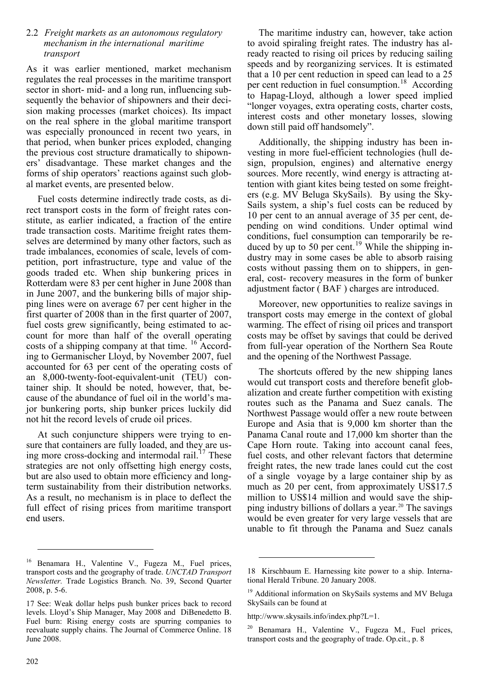#### 2.2 *Freight markets as an autonomous regulatory mechanism in the international maritime transport*

As it was earlier mentioned, market mechanism regulates the real processes in the maritime transport sector in short- mid- and a long run, influencing subsequently the behavior of shipowners and their decision making processes (market choices). Its impact on the real sphere in the global maritime transport was especially pronounced in recent two years, in that period, when bunker prices exploded, changing the previous cost structure dramatically to shipowners' disadvantage. These market changes and the forms of ship operators' reactions against such global market events, are presented below.

Fuel costs determine indirectly trade costs, as direct transport costs in the form of freight rates constitute, as earlier indicated, a fraction of the entire trade transaction costs. Maritime freight rates themselves are determined by many other factors, such as trade imbalances, economies of scale, levels of competition, port infrastructure, type and value of the goods traded etc. When ship bunkering prices in Rotterdam were 83 per cent higher in June 2008 than in June 2007, and the bunkering bills of major shipping lines were on average 67 per cent higher in the first quarter of 2008 than in the first quarter of 2007, fuel costs grew significantly, being estimated to account for more than half of the overall operating costs of a shipping company at that time. [16](#page-5-0) According to Germanischer Lloyd, by November 2007, fuel accounted for 63 per cent of the operating costs of an 8,000-twenty-foot-equivalent-unit (TEU) container ship. It should be noted, however, that, because of the abundance of fuel oil in the world's major bunkering ports, ship bunker prices luckily did not hit the record levels of crude oil prices.

At such conjuncture shippers were trying to ensure that containers are fully loaded, and they are using more cross-docking and intermodal rail. $^{17}$  $^{17}$  $^{17}$  These strategies are not only offsetting high energy costs, but are also used to obtain more efficiency and longterm sustainability from their distribution networks. As a result, no mechanism is in place to deflect the full effect of rising prices from maritime transport end users.

The maritime industry can, however, take action to avoid spiraling freight rates. The industry has already reacted to rising oil prices by reducing sailing speeds and by reorganizing services. It is estimated that a 10 per cent reduction in speed can lead to a 25 per cent reduction in fuel consumption.<sup>[18](#page-5-2)</sup> According to Hapag-Lloyd, although a lower speed implied "longer voyages, extra operating costs, charter costs, interest costs and other monetary losses, slowing down still paid off handsomely".

Additionally, the shipping industry has been investing in more fuel-efficient technologies (hull design, propulsion, engines) and alternative energy sources. More recently, wind energy is attracting attention with giant kites being tested on some freighters (e.g. MV Beluga SkySails). By using the Sky-Sails system, a ship's fuel costs can be reduced by 10 per cent to an annual average of 35 per cent, depending on wind conditions. Under optimal wind conditions, fuel consumption can temporarily be re-duced by up to 50 per cent.<sup>[19](#page-5-3)</sup> While the shipping industry may in some cases be able to absorb raising costs without passing them on to shippers, in general, cost- recovery measures in the form of bunker adjustment factor ( BAF ) charges are introduced.

Moreover, new opportunities to realize savings in transport costs may emerge in the context of global warming. The effect of rising oil prices and transport costs may be offset by savings that could be derived from full-year operation of the Northern Sea Route and the opening of the Northwest Passage.

The shortcuts offered by the new shipping lanes would cut transport costs and therefore benefit globalization and create further competition with existing routes such as the Panama and Suez canals. The Northwest Passage would offer a new route between Europe and Asia that is 9,000 km shorter than the Panama Canal route and 17,000 km shorter than the Cape Horn route. Taking into account canal fees, fuel costs, and other relevant factors that determine freight rates, the new trade lanes could cut the cost of a single voyage by a large container ship by as much as 20 per cent, from approximately US\$17.5 million to US\$14 million and would save the ship-ping industry billions of dollars a year.<sup>[20](#page-5-4)</sup> The savings would be even greater for very large vessels that are unable to fit through the Panama and Suez canals

-

<span id="page-5-2"></span><span id="page-5-0"></span><sup>16</sup> Benamara H., Valentine V., Fugeza M., Fuel prices, transport costs and the geography of trade. *UNCTAD Transport Newsletter.* Trade Logistics Branch. No. 39, Second Quarter 2008, p. 5-6.

<span id="page-5-4"></span><span id="page-5-3"></span><span id="page-5-1"></span><sup>17</sup> See: Weak dollar helps push bunker prices back to record levels. Lloyd's Ship Manager, May 2008 and DiBenedetto B. Fuel burn: Rising energy costs are spurring companies to reevaluate supply chains. The Journal of Commerce Online. 18 June 2008.

<sup>18</sup> Kirschbaum E. Harnessing kite power to a ship. International Herald Tribune. 20 January 2008.

<sup>&</sup>lt;sup>19</sup> Additional information on SkySails systems and MV Beluga SkySails can be found at

http://www.skysails.info/index.php?L=1.

<sup>20</sup> Benamara H., Valentine V., Fugeza M., Fuel prices, transport costs and the geography of trade. Op.cit., p. 8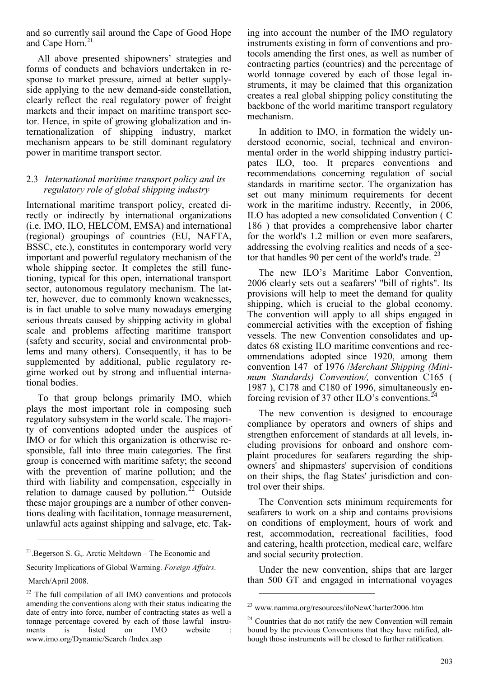and so currently sail around the Cape of Good Hope and Cape Horn. [21](#page-6-0)

All above presented shipowners' strategies and forms of conducts and behaviors undertaken in response to market pressure, aimed at better supplyside applying to the new demand-side constellation, clearly reflect the real regulatory power of freight markets and their impact on maritime transport sector. Hence, in spite of growing globalization and internationalization of shipping industry, market mechanism appears to be still dominant regulatory power in maritime transport sector.

#### 2.3 *International maritime transport policy and its regulatory role of global shipping industry*

International maritime transport policy, created directly or indirectly by international organizations (i.e. IMO, ILO, HELCOM, EMSA) and international (regional) groupings of countries (EU, NAFTA, BSSC, etc.), constitutes in contemporary world very important and powerful regulatory mechanism of the whole shipping sector. It completes the still functioning, typical for this open, international transport sector, autonomous regulatory mechanism. The latter, however, due to commonly known weaknesses, is in fact unable to solve many nowadays emerging serious threats caused by shipping activity in global scale and problems affecting maritime transport (safety and security, social and environmental problems and many others). Consequently, it has to be supplemented by additional, public regulatory regime worked out by strong and influential international bodies.

To that group belongs primarily IMO, which plays the most important role in composing such regulatory subsystem in the world scale. The majority of conventions adopted under the auspices of IMO or for which this organization is otherwise responsible, fall into three main categories. The first group is concerned with maritime safety; the second with the prevention of marine pollution; and the third with liability and compensation, especially in relation to damage caused by pollution.<sup>[22](#page-6-1)</sup> Outside these major groupings are a number of other conventions dealing with facilitation, tonnage measurement, unlawful acts against shipping and salvage, etc. Tak-

Security Implications of Global Warming. *Foreign Affairs*.

 $\overline{a}$ 

ing into account the number of the IMO regulatory instruments existing in form of conventions and protocols amending the first ones, as well as number of contracting parties (countries) and the percentage of world tonnage covered by each of those legal instruments, it may be claimed that this organization creates a real global shipping policy constituting the backbone of the world maritime transport regulatory mechanism.

In addition to IMO, in formation the widely understood economic, social, technical and environmental order in the world shipping industry participates ILO, too. It prepares conventions and recommendations concerning regulation of social standards in maritime sector. The organization has set out many minimum requirements for decent work in the maritime industry. Recently, in 2006, ILO has adopted a new consolidated Convention ( C 186 ) that provides a comprehensive labor charter for the world's 1.2 million or even more seafarers, addressing the evolving realities and needs of a sector that handles 90 per cent of the world's trade.  $^{23}$  $^{23}$  $^{23}$ 

The new ILO's Maritime Labor Convention, 2006 clearly sets out a seafarers' "bill of rights". Its provisions will help to meet the demand for quality shipping, which is crucial to the global economy. The convention will apply to all ships engaged in commercial activities with the exception of fishing vessels. The new Convention consolidates and updates 68 existing ILO maritime conventions and recommendations adopted since 1920, among them convention 147 of 1976 /*Merchant Shipping (Minimum Standards) Convention/,* convention C165 ( 1987 ), C178 and C180 of 1996, simultaneously enforcing revision of 37 other ILO's conventions.<sup>2</sup>

The new convention is designed to encourage compliance by operators and owners of ships and strengthen enforcement of standards at all levels, including provisions for onboard and onshore complaint procedures for seafarers regarding the shipowners' and shipmasters' supervision of conditions on their ships, the flag States' jurisdiction and control over their ships.

The Convention sets minimum requirements for seafarers to work on a ship and contains provisions on conditions of employment, hours of work and rest, accommodation, recreational facilities, food and catering, health protection, medical care, welfare and social security protection.

Under the new convention, ships that are larger than 500 GT and engaged in international voyages

-

<span id="page-6-0"></span><sup>21.</sup>Begerson S. G,. Arctic Meltdown – The Economic and

March/April 2008.

<span id="page-6-3"></span><span id="page-6-2"></span><span id="page-6-1"></span><sup>&</sup>lt;sup>22</sup> The full compilation of all IMO conventions and protocols amending the conventions along with their status indicating the date of entry into force, number of contracting states as well a tonnage percentage covered by each of those lawful instruments is listed on IMO website www.imo.org/Dynamic/Search /Index.asp

<sup>23</sup> www.namma.org/resources/iloNewCharter2006.htm

 $24$  Countries that do not ratify the new Convention will remain bound by the previous Conventions that they have ratified, although those instruments will be closed to further ratification.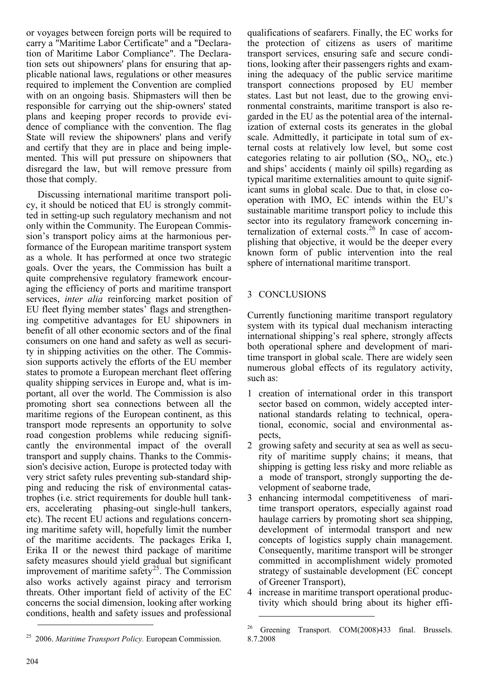or voyages between foreign ports will be required to carry a "Maritime Labor Certificate" and a "Declaration of Maritime Labor Compliance". The Declaration sets out shipowners' plans for ensuring that applicable national laws, regulations or other measures required to implement the Convention are complied with on an ongoing basis. Shipmasters will then be responsible for carrying out the ship-owners' stated plans and keeping proper records to provide evidence of compliance with the convention. The flag State will review the shipowners' plans and verify and certify that they are in place and being implemented. This will put pressure on shipowners that disregard the law, but will remove pressure from those that comply.

Discussing international maritime transport policy, it should be noticed that EU is strongly committed in setting-up such regulatory mechanism and not only within the Community. The European Commission's transport policy aims at the harmonious performance of the European maritime transport system as a whole. It has performed at once two strategic goals. Over the years, the Commission has built a quite comprehensive regulatory framework encouraging the efficiency of ports and maritime transport services, *inter alia* reinforcing market position of EU fleet flying member states' flags and strengthening competitive advantages for EU shipowners in benefit of all other economic sectors and of the final consumers on one hand and safety as well as security in shipping activities on the other. The Commission supports actively the efforts of the EU member states to promote a European merchant fleet offering quality shipping services in Europe and, what is important, all over the world. The Commission is also promoting short sea connections between all the maritime regions of the European continent, as this transport mode represents an opportunity to solve road congestion problems while reducing significantly the environmental impact of the overall transport and supply chains. Thanks to the Commission's decisive action, Europe is protected today with very strict safety rules preventing sub-standard shipping and reducing the risk of environmental catastrophes (i.e. strict requirements for double hull tankers, accelerating phasing-out single-hull tankers, etc). The recent EU actions and regulations concerning maritime safety will, hopefully limit the number of the maritime accidents. The packages Erika I, Erika II or the newest third package of maritime safety measures should yield gradual but significant improvement of maritime safety<sup>[25](#page-7-0)</sup>. The Commission also works actively against piracy and terrorism threats. Other important field of activity of the EC concerns the social dimension, looking after working conditions, health and safety issues and professional

qualifications of seafarers. Finally, the EC works for the protection of citizens as users of maritime transport services, ensuring safe and secure conditions, looking after their passengers rights and examining the adequacy of the public service maritime transport connections proposed by EU member states. Last but not least, due to the growing environmental constraints, maritime transport is also regarded in the EU as the potential area of the internalization of external costs its generates in the global scale. Admittedly, it participate in total sum of external costs at relatively low level, but some cost categories relating to air pollution  $(SO_x, NO_x, etc.)$ and ships' accidents ( mainly oil spills) regarding as typical maritime externalities amount to quite significant sums in global scale. Due to that, in close cooperation with IMO, EC intends within the EU's sustainable maritime transport policy to include this sector into its regulatory framework concerning in-ternalization of external costs.<sup>[26](#page-7-1)</sup> In case of accomplishing that objective, it would be the deeper every known form of public intervention into the real sphere of international maritime transport.

#### 3 CONCLUSIONS

-

Currently functioning maritime transport regulatory system with its typical dual mechanism interacting international shipping's real sphere, strongly affects both operational sphere and development of maritime transport in global scale. There are widely seen numerous global effects of its regulatory activity, such as:

- 1 creation of international order in this transport sector based on common, widely accepted international standards relating to technical, operational, economic, social and environmental aspects,
- 2 growing safety and security at sea as well as security of maritime supply chains; it means, that shipping is getting less risky and more reliable as a mode of transport, strongly supporting the development of seaborne trade,
- 3 enhancing intermodal competitiveness of maritime transport operators, especially against road haulage carriers by promoting short sea shipping, development of intermodal transport and new concepts of logistics supply chain management. Consequently, maritime transport will be stronger committed in accomplishment widely promoted strategy of sustainable development (EC concept of Greener Transport),
- 4 increase in maritime transport operational productivity which should bring about its higher effi-

<sup>&</sup>lt;sup>26</sup> Greening Transport. COM(2008)433 final. Brussels. 8.7.2008

<span id="page-7-1"></span><span id="page-7-0"></span><sup>25</sup> 2006. *Maritime Transport Policy.* European Commission.